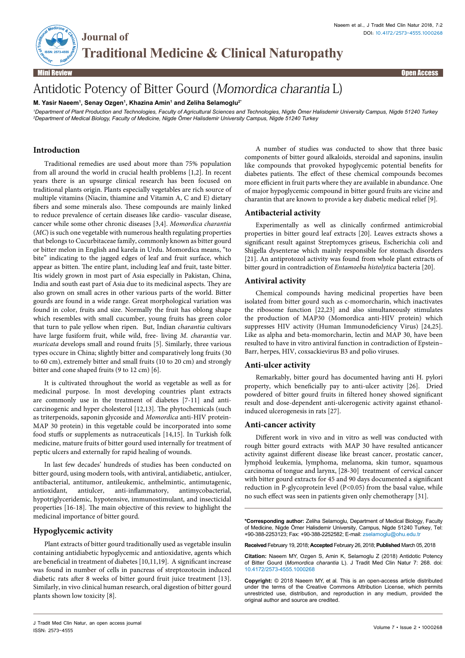

**Traditional Medicine & Clinical Naturopathy**

Mini Review Open Access

# Antidotic Potency of Bitter Gourd (Momordica charantia L)

**M. Yasir Naeem1 , Senay Ozgen1 , Khazina Amin1 and Zeliha Selamoglu2\***

**Journal of** 

*1 Department of Plant Production and Technologies, Faculty of Agricultural Sciences and Technologies, Nigde Ömer Halisdemir University Campus, Nigde 51240 Turkey 2 Department of Medical Biology, Faculty of Medicine, Nigde Ömer Halisdemir University Campus, Nigde 51240 Turkey*

## **Introduction**

Traditional remedies are used about more than 75% population from all around the world in crucial health problems [1,2]. In recent years there is an upsurge clinical research has been focused on traditional plants origin. Plants especially vegetables are rich source of multiple vitamins (Niacin, thiamine and Vitamin A, C and E) dietary fibers and some minerals also. These compounds are mainly linked to reduce prevalence of certain diseases like cardio- vascular disease, cancer while some other chronic diseases [3,4]. *Momordica charantia*  (*MC*) is such one vegetable with numerous health regulating properties that belongs to Cucurbitaceae family, commonly known as bitter gourd or bitter melon in English and karela in Urdu. Momordica means, "to bite" indicating to the jagged edges of leaf and fruit surface, which appear as bitten. The entire plant, including leaf and fruit, taste bitter. Itis widely grown in most part of Asia especially in Pakistan, China, India and south east part of Asia due to its medicinal aspects. They are also grown on small acres in other various parts of the world. Bitter gourds are found in a wide range. Great morphological variation was found in color, fruits and size. Normally the fruit has oblong shape which resembles with small cucumber, young fruits has green color that turn to pale yellow when ripen. But, Indian *charantia* cultivars have large fusiform fruit, while wild, free- living *M*. *charantia* var. *muricata* develops small and round fruits [5]. Similarly, three various types occure in China; slightly bitter and comparatively long fruits (30 to 60 cm), extremely bitter and small fruits (10 to 20 cm) and strongly bitter and cone shaped fruits (9 to 12 cm) [6].

It is cultivated throughout the world as vegetable as well as for medicinal purpose. In most developing countries plant extracts are commonly use in the treatment of diabetes [7-11] and anticarcinogenic and hyper cholesterol [12,13]. The phytochemicals (such as triterpenoids, saponin glycoside and *Momordica* anti-HIV protein-MAP 30 protein) in this vegetable could be incorporated into some food stuffs or supplements as nutraceuticals [14,15]. In Turkish folk medicine, mature fruits of bitter gourd used internally for treatment of peptic ulcers and externally for rapid healing of wounds.

In last few decades' hundreds of studies has been conducted on bitter gourd, using modern tools, with antiviral, antidiabetic, antiulcer, antibacterial, antitumor, antileukemic, anthelmintic, antimutagenic, antioxidant, antiulcer, anti-inflammatory, antimycobacterial, hypotriglyceridemic, hypotensive, immunostimulant, and insecticidal properties [16-18]. The main objective of this review to highlight the medicinal importance of bitter gourd.

## **Hypoglycemic activity**

Plant extracts of bitter gourd traditionally used as vegetable insulin containing antidiabetic hypoglycemic and antioxidative, agents which are beneficial in treatment of diabetes [10,11,19]. A significant increase was found in number of cells in pancreas of streptozotocin induced diabetic rats after 8 weeks of bitter gourd fruit juice treatment [13]. Similarly, in vivo clinical human research, oral digestion of bitter gourd plants shown low toxicity [8].

A number of studies was conducted to show that three basic components of bitter gourd alkaloids, steroidal and saponins, insulin like compounds that provoked hypoglycemic potential benefits for diabetes patients. The effect of these chemical compounds becomes more efficient in fruit parts where they are available in abundance. One of major hypoglycemic compound in bitter gourd fruits are vicine and charantin that are known to provide a key diabetic medical relief [9].

## **Antibacterial activity**

Experimentally as well as clinically confirmed antimicrobial properties in bitter gourd leaf extracts [20]. Leaves extracts shows a significant result against Streptomyces griseus, Escherichia coli and Shigella dysenterae which mainly responsible for stomach disorders [21]. An antiprotozol activity was found from whole plant extracts of bitter gourd in contradiction of *Entamoeba histolytica* bacteria [20].

## **Antiviral activity**

Chemical compounds having medicinal properties have been isolated from bitter gourd such as c-momorcharin, which inactivates the ribosome function [22,23] and also simultaneously stimulates the production of MAP30 (Momordica anti-HIV protein) which suppresses HIV activity (Human Immunodeficiency Virus) [24,25]. Like as alpha and beta-momorcharin, lectin and MAP 30, have been resulted to have in vitro antiviral function in contradiction of Epstein– Barr, herpes, HIV, coxsackievirus B3 and polio viruses.

## **Anti-ulcer activity**

Remarkably, bitter gourd has documented having anti H. pylori property, which beneficially pay to anti-ulcer activity [26]. Dried powdered of bitter gourd fruits in filtered honey showed significant result and dose-dependent anti-ulcerogenic activity against ethanolinduced ulcerogenesis in rats [27].

#### **Anti-cancer activity**

Different work in vivo and in vitro as well was conducted with rough bitter gourd extracts with MAP 30 have resulted anticancer activity against different disease like breast cancer, prostatic cancer, lymphoid leukemia, lymphoma, melanoma, skin tumor, squamous carcinoma of tongue and larynx, [28-30] treatment of cervical cancer with bitter gourd extracts for 45 and 90 days documented a significant reduction in P-glycoprotein level (P<0.05) from the basal value, while no such effect was seen in patients given only chemotherapy [31].

**\*Corresponding author:** Zeliha Selamoglu, Department of Medical Biology, Faculty of Medicine, Nigde Ömer Halisdemir University, Campus, Nigde 51240 Turkey, Tel: +90-388-2253123; Fax: +90-388-2252582; E-mail: zselamoglu@ohu.edu.tr

**Received** February 19, 2018; **Accepted** February 26, 2018; **Published** March 05, 2018

**Citation:** Naeem MY, Ozgen S, Amin K, Selamoglu Z (2018) Antidotic Potency of Bitter Gourd (*Momordica charantia* L). J Tradit Med Clin Natur 7: 268. doi: 10.4172/2573-4555.1000268

**Copyright:** © 2018 Naeem MY, et al. This is an open-access article distributed under the terms of the Creative Commons Attribution License, which permits unrestricted use, distribution, and reproduction in any medium, provided the original author and source are credited.